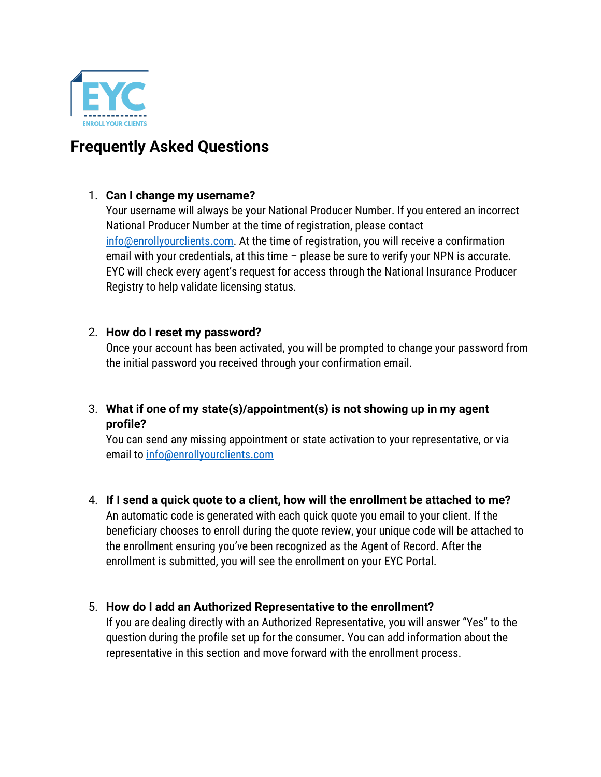

# **Frequently Asked Questions**

# 1. **Can I change my username?**

Your username will always be your National Producer Number. If you entered an incorrect National Producer Number at the time of registration, please contact [info@enrollyourclients.com.](mailto:info@enrollyourclients.com) At the time of registration, you will receive a confirmation email with your credentials, at this time – please be sure to verify your NPN is accurate. EYC will check every agent's request for access through the National Insurance Producer Registry to help validate licensing status.

# 2. **How do I reset my password?**

Once your account has been activated, you will be prompted to change your password from the initial password you received through your confirmation email.

# 3. **What if one of my state(s)/appointment(s) is not showing up in my agent profile?**

You can send any missing appointment or state activation to your representative, or via email to [info@enrollyourclients.com](mailto:info@enrollyourclients.com)

4. **If I send a quick quote to a client, how will the enrollment be attached to me?** An automatic code is generated with each quick quote you email to your client. If the beneficiary chooses to enroll during the quote review, your unique code will be attached to the enrollment ensuring you've been recognized as the Agent of Record. After the enrollment is submitted, you will see the enrollment on your EYC Portal.

# 5. **How do I add an Authorized Representative to the enrollment?**

If you are dealing directly with an Authorized Representative, you will answer "Yes" to the question during the profile set up for the consumer. You can add information about the representative in this section and move forward with the enrollment process.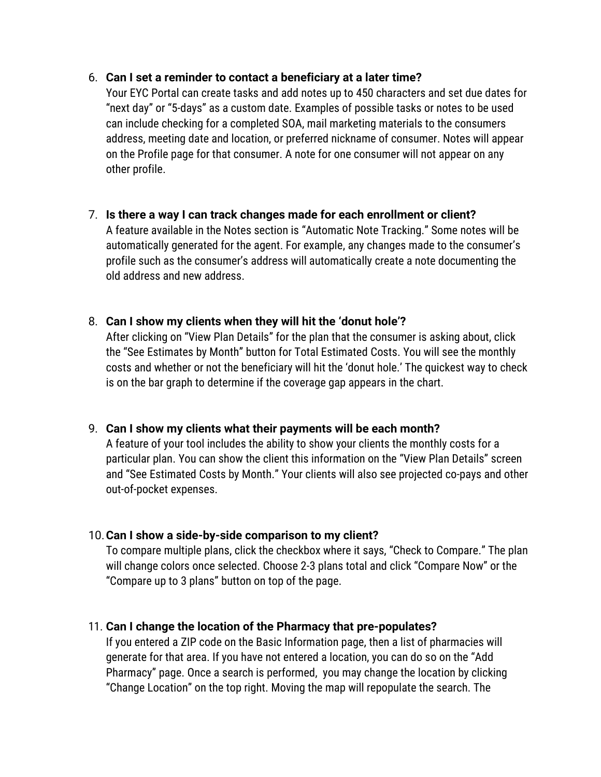### 6. **Can I set a reminder to contact a beneficiary at a later time?**

Your EYC Portal can create tasks and add notes up to 450 characters and set due dates for "next day" or "5-days" as a custom date. Examples of possible tasks or notes to be used can include checking for a completed SOA, mail marketing materials to the consumers address, meeting date and location, or preferred nickname of consumer. Notes will appear on the Profile page for that consumer. A note for one consumer will not appear on any other profile.

#### 7. **Is there a way I can track changes made for each enrollment or client?**

A feature available in the Notes section is "Automatic Note Tracking." Some notes will be automatically generated for the agent. For example, any changes made to the consumer's profile such as the consumer's address will automatically create a note documenting the old address and new address.

#### 8. **Can I show my clients when they will hit the 'donut hole'?**

After clicking on "View Plan Details" for the plan that the consumer is asking about, click the "See Estimates by Month" button for Total Estimated Costs. You will see the monthly costs and whether or not the beneficiary will hit the 'donut hole.' The quickest way to check is on the bar graph to determine if the coverage gap appears in the chart.

# 9. **Can I show my clients what their payments will be each month?**

A feature of your tool includes the ability to show your clients the monthly costs for a particular plan. You can show the client this information on the "View Plan Details" screen and "See Estimated Costs by Month." Your clients will also see projected co-pays and other out-of-pocket expenses.

#### 10.**Can I show a side-by-side comparison to my client?**

To compare multiple plans, click the checkbox where it says, "Check to Compare." The plan will change colors once selected. Choose 2-3 plans total and click "Compare Now" or the "Compare up to 3 plans" button on top of the page.

# 11. **Can I change the location of the Pharmacy that pre-populates?**

If you entered a ZIP code on the Basic Information page, then a list of pharmacies will generate for that area. If you have not entered a location, you can do so on the "Add Pharmacy" page. Once a search is performed, you may change the location by clicking "Change Location" on the top right. Moving the map will repopulate the search. The